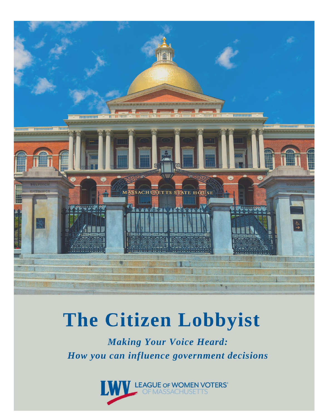

# The Citizen Lobbyist

**Making Your Voice Heard:** How you can influence government decisions

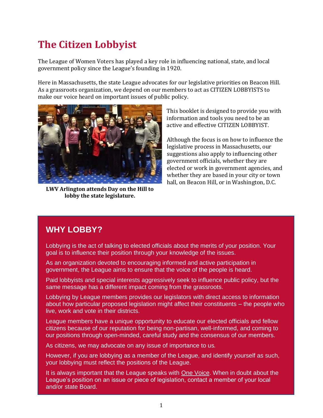## **The Citizen Lobbyist**

The League of Women Voters has played a key role in influencing national, state, and local government policy since the League's founding in 1920.

Here in Massachusetts, the state League advocates for our legislative priorities on Beacon Hill. As a grassroots organization, we depend on our members to act as CITIZEN LOBBYISTS to make our voice heard on important issues of public policy.



**LWV Arlington attends Day on the Hill to lobby the state legislature.**

This booklet is designed to provide you with information and tools you need to be an active and effective CITIZEN LOBBYIST.

Although the focus is on how to influence the legislative process in Massachusetts, our suggestions also apply to influencing other government officials, whether they are elected or work in government agencies, and whether they are based in your city or town hall, on Beacon Hill, or in Washington, D.C.

#### **WHY LOBBY?**

Lobbying is the act of talking to elected officials about the merits of your position. Your goal is to influence their position through your knowledge of the issues.

As an organization devoted to encouraging informed and active participation in government, the League aims to ensure that the voice of the people is heard.

Paid lobbyists and special interests aggressively seek to influence public policy, but the same message has a different impact coming from the grassroots.

Lobbying by League members provides our legislators with direct access to information about how particular proposed legislation might affect their constituents – the people who live, work and vote in their districts.

League members have a unique opportunity to educate our elected officials and fellow citizens because of our reputation for being non-partisan, well-informed, and coming to our positions through open-minded, careful study and the consensus of our members.

As citizens, we may advocate on any issue of importance to us.

However, if you are lobbying as a member of the League, and identify yourself as such, your lobbying must reflect the positions of the League.

It is always important that the League speaks with One Voice. When in doubt about the League's position on an issue or piece of legislation, contact a member of your local and/or state Board.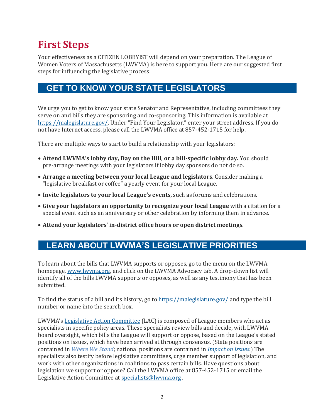## **First Steps**

Your effectiveness as a CITIZEN LOBBYIST will depend on your preparation. The League of Women Voters of Massachusetts (LWVMA) is here to support you. Here are our suggested first steps for influencing the legislative process:

#### **GET TO KNOW YOUR STATE LEGISLATORS**

We urge you to get to know your state Senator and Representative, including committees they serve on and bills they are sponsoring and co-sponsoring. This information is available at [https://malegislature.gov/.](about:blank) Under "Find Your Legislator," enter your street address. If you do not have Internet access, please call the LWVMA office at 857-452-1715 for help.

There are multiple ways to start to build a relationship with your legislators:

- **Attend LWVMA's lobby day, Day on the Hill**, **or a bill-specific lobby day.** You should pre-arrange meetings with your legislators if lobby day sponsors do not do so.
- **Arrange a meeting between your local League and legislators**. Consider making a "legislative breakfast or coffee" a yearly event for your local League.
- **Invite legislators to your local League's events,** such as forums and celebrations.
- **Give your legislators an opportunity to recognize your local League** with a citation for a special event such as an anniversary or other celebration by informing them in advance.
- **Attend your legislators' in-district office hours or open district meetings**.

#### **LEARN ABOUT LWVMA'S LEGISLATIVE PRIORITIES**

To learn about the bills that LWVMA supports or opposes, go to the menu on the LWVMA homepage, [www.lwvma.org, a](about:blank)nd click on the LWVMA Advocacy tab. A drop-down list will identify all of the bills LWVMA supports or opposes, as well as any testimony that has been submitted.

To find the status of a bill and its history, go to [https://malegislature.gov/](about:blank) and type the bill number or name into the search box.

LWVMA's [Legislative Action Committee](about:blank) (LAC) is composed of League members who act as specialists in specific policy areas. These specialists review bills and decide, with LWVMA board oversight, which bills the League will support or oppose, based on the League's stated positions on issues, which have been arrived at through consensus. (State positions are contained in *[Where We Stand](about:blank)*; national positions are contained in *[Impact on Issues](about:blank)*.) The specialists also testify before legislative committees, urge member support of legislation, and work with other organizations in coalitions to pass certain bills. Have questions about legislation we support or oppose? Call the LWVMA office at 857-452-1715 or email the Legislative Action Committee at [specialists@lwvma.org](about:blank) .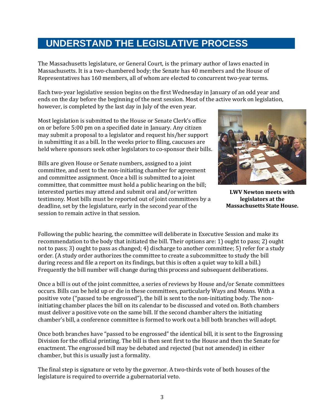### **UNDERSTAND THE LEGISLATIVE PROCESS**

The Massachusetts legislature, or General Court, is the primary author of laws enacted in Massachusetts. It is a two-chambered body; the Senate has 40 members and the House of Representatives has 160 members, all of whom are elected to concurrent two-year terms.

Each two-year legislative session begins on the first Wednesday in January of an odd year and ends on the day before the beginning of the next session. Most of the active work on legislation, however, is completed by the last day in July of the even year.

Most legislation is submitted to the House or Senate Clerk's office on or before 5:00 pm on a specified date in January. Any citizen may submit a proposal to a legislator and request his/her support in submitting it as a bill. In the weeks prior to filing, caucuses are held where sponsors seek other legislators to co-sponsor their bills.

Bills are given House or Senate numbers, assigned to a joint committee, and sent to the non-initiating chamber for agreement and committee assignment. Once a bill is submitted to a joint committee, that committee must hold a public hearing on the bill; interested parties may attend and submit oral and/or written testimony. Most bills must be reported out of joint committees by a deadline, set by the legislature, early in the second year of the session to remain active in that session.



**LWV Newton meets with legislators at the Massachusetts State House.**

Following the public hearing, the committee will deliberate in Executive Session and make its recommendation to the body that initiated the bill. Their options are: 1) ought to pass; 2) ought not to pass; 3) ought to pass as changed; 4) discharge to another committee; 5) refer for a study order. (A study order authorizes the committee to create a subcommittee to study the bill during recess and file a report on its findings, but this is often a quiet way to kill a bill.) Frequently the bill number will change during this process and subsequent deliberations.

Once a bill is out of the joint committee, a series of reviews by House and/or Senate committees occurs. Bills can be held up or die in these committees, particularly Ways and Means. With a positive vote ("passed to be engrossed"), the bill is sent to the non-initiating body. The noninitiating chamber places the bill on its calendar to be discussed and voted on. Both chambers must deliver a positive vote on the same bill. If the second chamber alters the initiating chamber's bill, a conference committee is formed to work out a bill both branches will adopt.

Once both branches have "passed to be engrossed" the identical bill, it is sent to the Engrossing Division for the official printing. The bill is then sent first to the House and then the Senate for enactment. The engrossed bill may be debated and rejected (but not amended) in either chamber, but this is usually just a formality.

The final step is signature or veto by the governor. A two-thirds vote of both houses of the legislature is required to override a gubernatorial veto.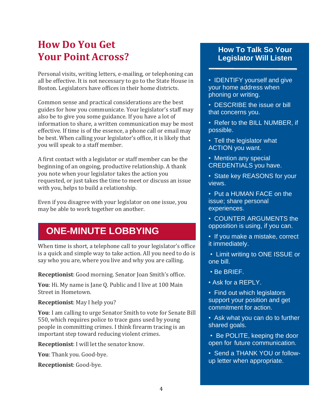## **How Do You Get Your Point Across?**

Personal visits, writing letters, e-mailing, or telephoning can all be effective. It is not necessary to go to the State House in Boston. Legislators have offices in their home districts.

Common sense and practical considerations are the best guides for how you communicate. Your legislator's staff may also be to give you some guidance. If you have a lot of information to share, a written communication may be most effective. If time is of the essence, a phone call or email may be best. When calling your legislator's office, it is likely that you will speak to a staff member.

A first contact with a legislator or staff member can be the beginning of an ongoing, productive relationship. A thank you note when your legislator takes the action you requested, or just takes the time to meet or discuss an issue with you, helps to build a relationship.

Even if you disagree with your legislator on one issue, you may be able to work together on another.

### **ONE-MINUTE LOBBYING**

When time is short, a telephone call to your legislator's office is a quick and simple way to take action. All you need to do is say who you are, where you live and why you are calling.

**Receptionist**: Good morning. Senator Joan Smith's office.

**You**: Hi. My name is Jane Q. Public and I live at 100 Main Street in Hometown.

**Receptionist**: May I help you?

**You**: I am calling to urge Senator Smith to vote for Senate Bill 550, which requires police to trace guns used by young people in committing crimes. I think firearm tracing is an important step toward reducing violent crimes.

**Receptionist**: I will let the senator know.

**You**: Thank you. Good-bye.

**Receptionist**: Good-bye.

#### **How To Talk So Your Legislator Will Listen**

- IDENTIFY yourself and give your home address when phoning or writing.
- DESCRIBE the issue or bill that concerns you.
- Refer to the BILL NUMBER, if possible.
- Tell the legislator what ACTION you want.
- Mention any special CREDENTIALS you have.
- State key REASONS for your views.
- Put a HUMAN FACE on the issue; share personal experiences.
- COUNTER ARGUMENTS the opposition is using, if you can.
- If you make a mistake, correct it immediately.
- Limit writing to ONE ISSUE or one bill.
- Be BRIEF.
- Ask for a REPLY.
- Find out which legislators support your position and get commitment for action.
- Ask what you can do to further shared goals.
- Be POLITE, keeping the door open for future communication.
- Send a THANK YOU or followup letter when appropriate.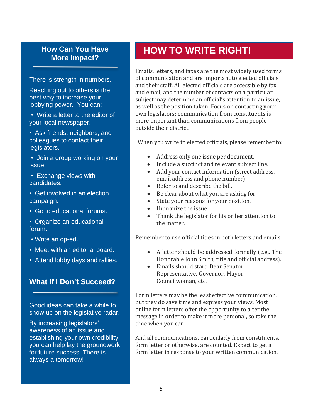## **More Impact?**

There is strength in numbers.

Reaching out to others is the best way to increase your lobbying power. You can:

• Write a letter to the editor of your local newspaper.

• Ask friends, neighbors, and colleagues to contact their legislators.

• Join a group working on your issue.

- Exchange views with candidates.
- Get involved in an election campaign.
- Go to educational forums.
- Organize an educational forum.
- Write an op-ed.
- Meet with an editorial board.
- Attend lobby days and rallies.

#### **What if I Don't Succeed?**

Good ideas can take a while to show up on the legislative radar.

By increasing legislators' awareness of an issue and establishing your own credibility, you can help lay the groundwork for future success. There is always a tomorrow!

## **How Can You Have HOW TO WRITE RIGHT!**

Emails, letters, and faxes are the most widely used forms of communication and are important to elected officials and their staff. All elected officials are accessible by fax and email, and the number of contacts on a particular subject may determine an official's attention to an issue, as well as the position taken. Focus on contacting your own legislators; communication from constituents is more important than communications from people outside their district.

When you write to elected officials, please remember to:

- Address only one issue per document.
- Include a succinct and relevant subject line.
- Add your contact information (street address, email address and phone number).
- Refer to and describe the bill.
- Be clear about what you are asking for.
- State your reasons for your position.
- Humanize the issue.
- Thank the legislator for his or her attention to the matter.

Remember to use official titles in both letters and emails:

- A letter should be addressed formally (e.g., The Honorable John Smith, title and official address).
- Emails should start: Dear Senator, Representative, Governor, Mayor, Councilwoman, etc.

Form letters may be the least effective communication, but they do save time and express your views. Most online form letters offer the opportunity to alter the message in order to make it more personal, so take the time when you can.

And all communications, particularly from constituents, form letter or otherwise, are counted. Expect to get a form letter in response to your written communication.